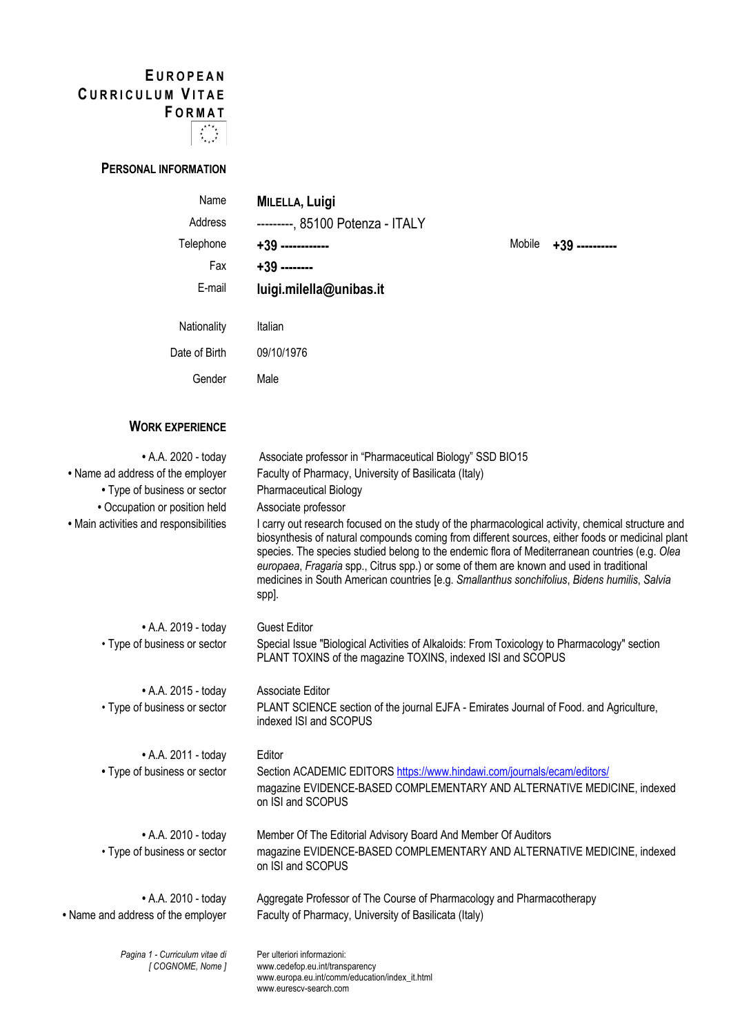# **E UROPEAN C URRICULUM V ITAE F ORMAT**



# **PERSONAL INFORMATION**

| Name          | <b>MILELLA, Luigi</b>            |        |                |
|---------------|----------------------------------|--------|----------------|
| Address       | ---------, 85100 Potenza - ITALY |        |                |
| Telephone     | +39 -------------                | Mobile | +39 ---------- |
| Fax           | $+39$ --------                   |        |                |
| E-mail        | luigi.milella@unibas.it          |        |                |
| Nationality   | Italian                          |        |                |
|               |                                  |        |                |
| Date of Birth | 09/10/1976                       |        |                |
| Gender        | Male                             |        |                |

## **WORK EXPERIENCE**

| • A.A. 2020 - today                               | Associate professor in "Pharmaceutical Biology" SSD BIO15                                                                                                                                                                                                                                                                                                                                                                                                                                                   |
|---------------------------------------------------|-------------------------------------------------------------------------------------------------------------------------------------------------------------------------------------------------------------------------------------------------------------------------------------------------------------------------------------------------------------------------------------------------------------------------------------------------------------------------------------------------------------|
| • Name ad address of the employer                 | Faculty of Pharmacy, University of Basilicata (Italy)                                                                                                                                                                                                                                                                                                                                                                                                                                                       |
| • Type of business or sector                      | <b>Pharmaceutical Biology</b>                                                                                                                                                                                                                                                                                                                                                                                                                                                                               |
| • Occupation or position held                     | Associate professor                                                                                                                                                                                                                                                                                                                                                                                                                                                                                         |
| • Main activities and responsibilities            | I carry out research focused on the study of the pharmacological activity, chemical structure and<br>biosynthesis of natural compounds coming from different sources, either foods or medicinal plant<br>species. The species studied belong to the endemic flora of Mediterranean countries (e.g. Olea<br>europaea, Fragaria spp., Citrus spp.) or some of them are known and used in traditional<br>medicines in South American countries [e.g. Smallanthus sonchifolius, Bidens humilis, Salvia<br>spp]. |
| • A.A. 2019 - today                               | <b>Guest Editor</b>                                                                                                                                                                                                                                                                                                                                                                                                                                                                                         |
| • Type of business or sector                      | Special Issue "Biological Activities of Alkaloids: From Toxicology to Pharmacology" section<br>PLANT TOXINS of the magazine TOXINS, indexed ISI and SCOPUS                                                                                                                                                                                                                                                                                                                                                  |
| • A.A. 2015 - today                               | Associate Editor                                                                                                                                                                                                                                                                                                                                                                                                                                                                                            |
| • Type of business or sector                      | PLANT SCIENCE section of the journal EJFA - Emirates Journal of Food. and Agriculture,<br>indexed ISI and SCOPUS                                                                                                                                                                                                                                                                                                                                                                                            |
| • A.A. 2011 - today                               | Editor                                                                                                                                                                                                                                                                                                                                                                                                                                                                                                      |
| • Type of business or sector                      | Section ACADEMIC EDITORS https://www.hindawi.com/journals/ecam/editors/<br>magazine EVIDENCE-BASED COMPLEMENTARY AND ALTERNATIVE MEDICINE, indexed<br>on ISI and SCOPUS                                                                                                                                                                                                                                                                                                                                     |
| • A.A. 2010 - today                               | Member Of The Editorial Advisory Board And Member Of Auditors                                                                                                                                                                                                                                                                                                                                                                                                                                               |
| • Type of business or sector                      | magazine EVIDENCE-BASED COMPLEMENTARY AND ALTERNATIVE MEDICINE, indexed<br>on ISI and SCOPUS                                                                                                                                                                                                                                                                                                                                                                                                                |
| • A.A. 2010 - today                               | Aggregate Professor of The Course of Pharmacology and Pharmacotherapy                                                                                                                                                                                                                                                                                                                                                                                                                                       |
| • Name and address of the employer                | Faculty of Pharmacy, University of Basilicata (Italy)                                                                                                                                                                                                                                                                                                                                                                                                                                                       |
| Pagina 1 - Curriculum vitae di<br>[COGNOME, Nome] | Per ulteriori informazioni:<br>www.cedefop.eu.int/transparency<br>www.europa.eu.int/comm/education/index_it.html                                                                                                                                                                                                                                                                                                                                                                                            |

www.eurescv-search.com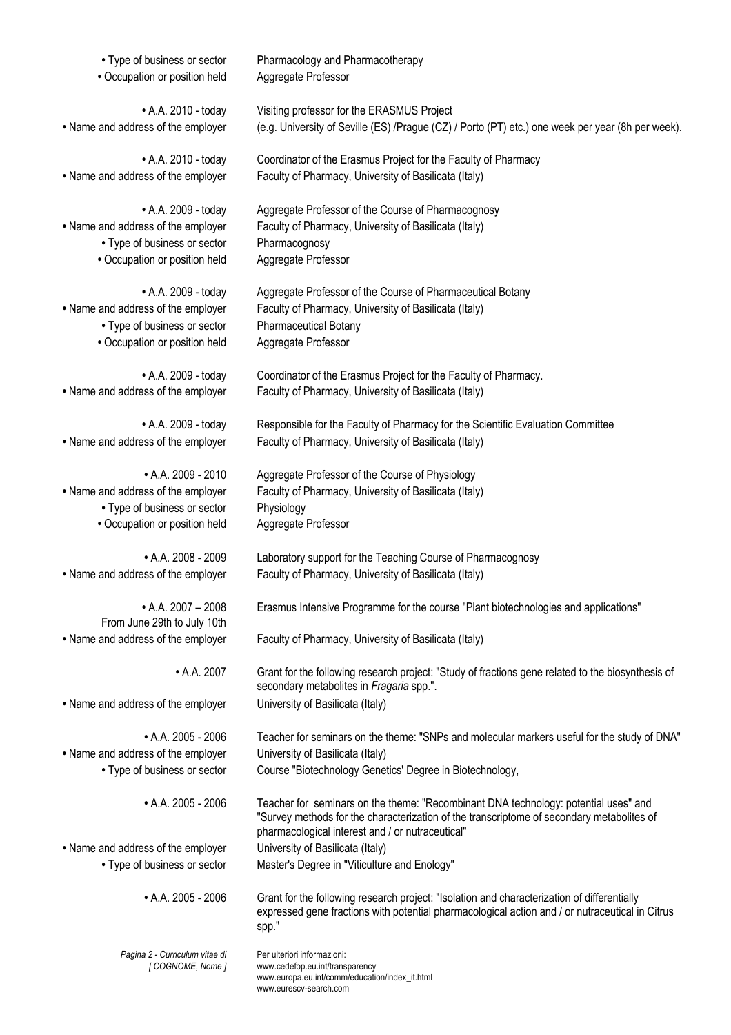| • Type of business or sector                                                                    | Pharmacology and Pharmacotherapy                                                                                                                                                                                                     |
|-------------------------------------------------------------------------------------------------|--------------------------------------------------------------------------------------------------------------------------------------------------------------------------------------------------------------------------------------|
| • Occupation or position held                                                                   | Aggregate Professor                                                                                                                                                                                                                  |
| • A.A. 2010 - today                                                                             | Visiting professor for the ERASMUS Project                                                                                                                                                                                           |
| • Name and address of the employer                                                              | (e.g. University of Seville (ES) /Prague (CZ) / Porto (PT) etc.) one week per year (8h per week).                                                                                                                                    |
| • A.A. 2010 - today                                                                             | Coordinator of the Erasmus Project for the Faculty of Pharmacy                                                                                                                                                                       |
| • Name and address of the employer                                                              | Faculty of Pharmacy, University of Basilicata (Italy)                                                                                                                                                                                |
| • A.A. 2009 - today                                                                             | Aggregate Professor of the Course of Pharmacognosy                                                                                                                                                                                   |
| • Name and address of the employer                                                              | Faculty of Pharmacy, University of Basilicata (Italy)                                                                                                                                                                                |
| • Type of business or sector                                                                    | Pharmacognosy                                                                                                                                                                                                                        |
| • Occupation or position held                                                                   | Aggregate Professor                                                                                                                                                                                                                  |
| • A.A. 2009 - today                                                                             | Aggregate Professor of the Course of Pharmaceutical Botany                                                                                                                                                                           |
| • Name and address of the employer                                                              | Faculty of Pharmacy, University of Basilicata (Italy)                                                                                                                                                                                |
| • Type of business or sector                                                                    | Pharmaceutical Botany                                                                                                                                                                                                                |
| • Occupation or position held                                                                   | Aggregate Professor                                                                                                                                                                                                                  |
| • A.A. 2009 - today                                                                             | Coordinator of the Erasmus Project for the Faculty of Pharmacy.                                                                                                                                                                      |
| • Name and address of the employer                                                              | Faculty of Pharmacy, University of Basilicata (Italy)                                                                                                                                                                                |
| • A.A. 2009 - today                                                                             | Responsible for the Faculty of Pharmacy for the Scientific Evaluation Committee                                                                                                                                                      |
| • Name and address of the employer                                                              | Faculty of Pharmacy, University of Basilicata (Italy)                                                                                                                                                                                |
| $\bullet$ A.A. 2009 - 2010                                                                      | Aggregate Professor of the Course of Physiology                                                                                                                                                                                      |
| • Name and address of the employer                                                              | Faculty of Pharmacy, University of Basilicata (Italy)                                                                                                                                                                                |
| • Type of business or sector                                                                    | Physiology                                                                                                                                                                                                                           |
| • Occupation or position held                                                                   | Aggregate Professor                                                                                                                                                                                                                  |
| $\bullet$ A.A. 2008 - 2009                                                                      | Laboratory support for the Teaching Course of Pharmacognosy                                                                                                                                                                          |
| • Name and address of the employer                                                              | Faculty of Pharmacy, University of Basilicata (Italy)                                                                                                                                                                                |
| $\bullet$ A.A. 2007 - 2008<br>From June 29th to July 10th<br>• Name and address of the employer | Erasmus Intensive Programme for the course "Plant biotechnologies and applications"<br>Faculty of Pharmacy, University of Basilicata (Italy)                                                                                         |
| • A.A. 2007                                                                                     | Grant for the following research project: "Study of fractions gene related to the biosynthesis of<br>secondary metabolites in Fragaria spp.".                                                                                        |
| • Name and address of the employer                                                              | University of Basilicata (Italy)                                                                                                                                                                                                     |
| • A.A. 2005 - 2006                                                                              | Teacher for seminars on the theme: "SNPs and molecular markers useful for the study of DNA"                                                                                                                                          |
| • Name and address of the employer                                                              | University of Basilicata (Italy)                                                                                                                                                                                                     |
| • Type of business or sector                                                                    | Course "Biotechnology Genetics' Degree in Biotechnology,                                                                                                                                                                             |
| $\bullet$ A.A. 2005 - 2006                                                                      | Teacher for seminars on the theme: "Recombinant DNA technology: potential uses" and<br>"Survey methods for the characterization of the transcriptome of secondary metabolites of<br>pharmacological interest and / or nutraceutical" |
| • Name and address of the employer                                                              | University of Basilicata (Italy)                                                                                                                                                                                                     |
| • Type of business or sector                                                                    | Master's Degree in "Viticulture and Enology"                                                                                                                                                                                         |
| $\bullet$ A.A. 2005 - 2006                                                                      | Grant for the following research project: "Isolation and characterization of differentially<br>expressed gene fractions with potential pharmacological action and / or nutraceutical in Citrus<br>spp."                              |
| Pagina 2 - Curriculum vitae di<br>[COGNOME, Nome]                                               | Per ulteriori informazioni:<br>www.cedefop.eu.int/transparency<br>www.europa.eu.int/comm/education/index_it.html                                                                                                                     |

www.eurescv-search.com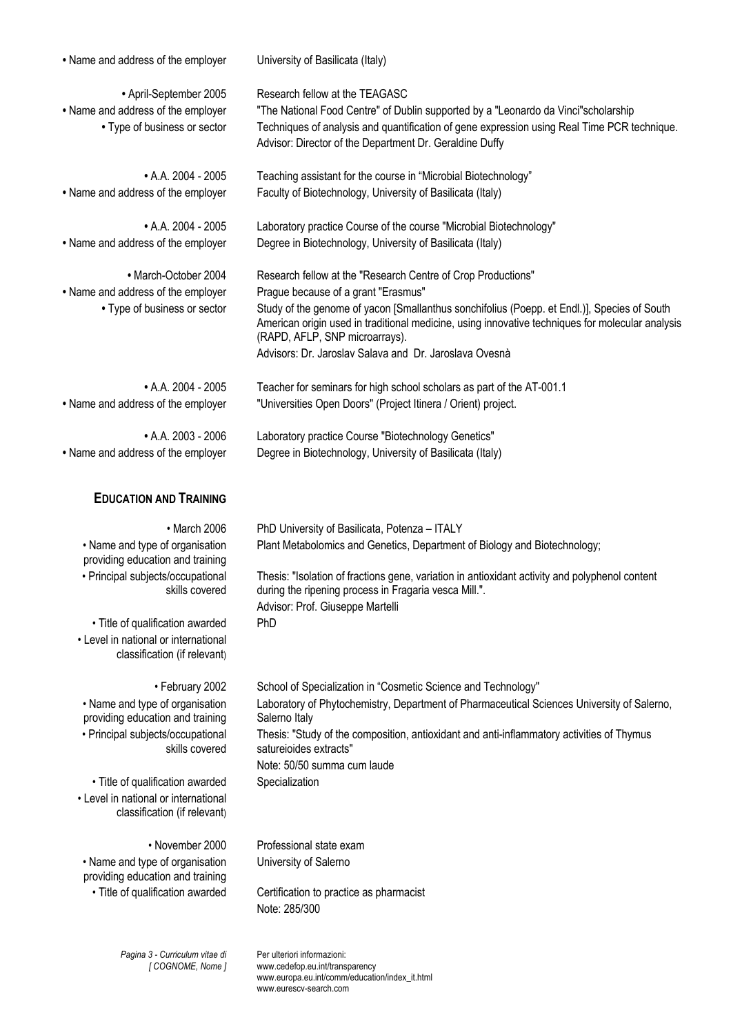| • Name and address of the employer                                       | University of Basilicata (Italy)                                                                                                                                                                                                  |  |  |
|--------------------------------------------------------------------------|-----------------------------------------------------------------------------------------------------------------------------------------------------------------------------------------------------------------------------------|--|--|
| • April-September 2005                                                   | Research fellow at the TEAGASC                                                                                                                                                                                                    |  |  |
| • Name and address of the employer                                       | "The National Food Centre" of Dublin supported by a "Leonardo da Vinci"scholarship                                                                                                                                                |  |  |
| • Type of business or sector                                             | Techniques of analysis and quantification of gene expression using Real Time PCR technique.                                                                                                                                       |  |  |
|                                                                          | Advisor: Director of the Department Dr. Geraldine Duffy                                                                                                                                                                           |  |  |
| $\bullet$ A.A. 2004 - 2005                                               | Teaching assistant for the course in "Microbial Biotechnology"                                                                                                                                                                    |  |  |
| • Name and address of the employer                                       | Faculty of Biotechnology, University of Basilicata (Italy)                                                                                                                                                                        |  |  |
| $\bullet$ A.A. 2004 - 2005                                               | Laboratory practice Course of the course "Microbial Biotechnology"                                                                                                                                                                |  |  |
| • Name and address of the employer                                       | Degree in Biotechnology, University of Basilicata (Italy)                                                                                                                                                                         |  |  |
| • March-October 2004                                                     | Research fellow at the "Research Centre of Crop Productions"                                                                                                                                                                      |  |  |
| • Name and address of the employer                                       | Prague because of a grant "Erasmus"                                                                                                                                                                                               |  |  |
| • Type of business or sector                                             | Study of the genome of yacon [Smallanthus sonchifolius (Poepp. et Endl.)], Species of South<br>American origin used in traditional medicine, using innovative techniques for molecular analysis<br>(RAPD, AFLP, SNP microarrays). |  |  |
|                                                                          | Advisors: Dr. Jaroslav Salava and Dr. Jaroslava Ovesnà                                                                                                                                                                            |  |  |
| $\bullet$ A.A. 2004 - 2005                                               | Teacher for seminars for high school scholars as part of the AT-001.1                                                                                                                                                             |  |  |
| • Name and address of the employer                                       | "Universities Open Doors" (Project Itinera / Orient) project.                                                                                                                                                                     |  |  |
|                                                                          |                                                                                                                                                                                                                                   |  |  |
| $\bullet$ A.A. 2003 - 2006                                               | Laboratory practice Course "Biotechnology Genetics"                                                                                                                                                                               |  |  |
| • Name and address of the employer                                       | Degree in Biotechnology, University of Basilicata (Italy)                                                                                                                                                                         |  |  |
|                                                                          |                                                                                                                                                                                                                                   |  |  |
|                                                                          |                                                                                                                                                                                                                                   |  |  |
| <b>EDUCATION AND TRAINING</b>                                            |                                                                                                                                                                                                                                   |  |  |
| $\cdot$ March 2006                                                       | PhD University of Basilicata, Potenza - ITALY                                                                                                                                                                                     |  |  |
| • Name and type of organisation                                          | Plant Metabolomics and Genetics, Department of Biology and Biotechnology;                                                                                                                                                         |  |  |
| providing education and training                                         |                                                                                                                                                                                                                                   |  |  |
| • Principal subjects/occupational<br>skills covered                      | Thesis: "Isolation of fractions gene, variation in antioxidant activity and polyphenol content<br>during the ripening process in Fragaria vesca Mill.".                                                                           |  |  |
|                                                                          | Advisor: Prof. Giuseppe Martelli<br>PhD                                                                                                                                                                                           |  |  |
| • Title of qualification awarded<br>• Level in national or international |                                                                                                                                                                                                                                   |  |  |
| classification (if relevant)                                             |                                                                                                                                                                                                                                   |  |  |
| • February 2002                                                          | School of Specialization in "Cosmetic Science and Technology"                                                                                                                                                                     |  |  |
| • Name and type of organisation                                          | Laboratory of Phytochemistry, Department of Pharmaceutical Sciences University of Salerno,                                                                                                                                        |  |  |
| providing education and training                                         | Salerno Italy                                                                                                                                                                                                                     |  |  |
| • Principal subjects/occupational                                        | Thesis: "Study of the composition, antioxidant and anti-inflammatory activities of Thymus                                                                                                                                         |  |  |
| skills covered                                                           | satureioides extracts"<br>Note: 50/50 summa cum laude                                                                                                                                                                             |  |  |
| • Title of qualification awarded                                         | Specialization                                                                                                                                                                                                                    |  |  |
| • Level in national or international<br>classification (if relevant)     |                                                                                                                                                                                                                                   |  |  |
|                                                                          |                                                                                                                                                                                                                                   |  |  |
| • November 2000                                                          | Professional state exam                                                                                                                                                                                                           |  |  |
| • Name and type of organisation<br>providing education and training      | University of Salerno                                                                                                                                                                                                             |  |  |
| · Title of qualification awarded                                         | Certification to practice as pharmacist                                                                                                                                                                                           |  |  |
|                                                                          | Note: 285/300                                                                                                                                                                                                                     |  |  |

*Pagina 3 - Curriculum vitae di [ COGNOME, Nome ]* Per ulteriori informazioni: www.cedefop.eu.int/transparency www.europa.eu.int/comm/education/index\_it.html www.eurescv-search.com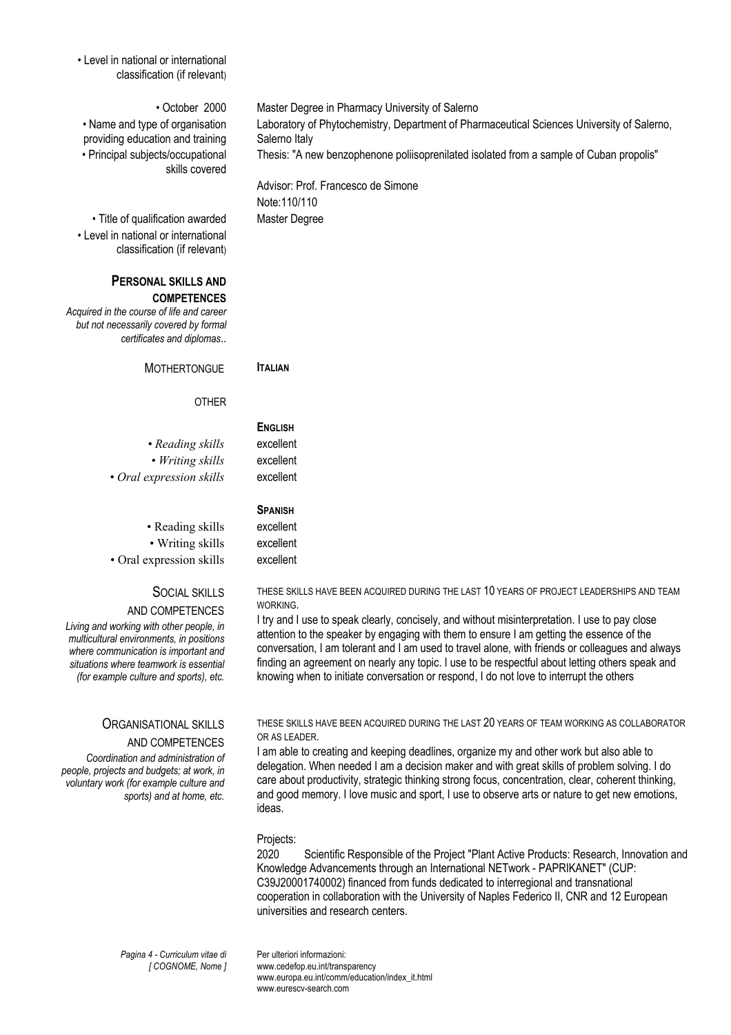• Level in national or international classification (if relevant)

#### • October 2000 Master Degree in Pharmacy University of Salerno

• Name and type of organisation providing education and training • Principal subjects/occupational skills covered

• Title of qualification awarded Master Degree • Level in national or international classification (if relevant)

### **PERSONAL SKILLS AND COMPETENCES**

*Acquired in the course of life and career but not necessarily covered by formal certificates and diplomas*..

MOTHERTONGUE **ITALIAN**

**ENGLISH**

#### **OTHER**

• *Reading skills* excellent *• Writing skills* excellent • Oral expression skills excellent

• Reading skills excellent • Writing skills excellent • Oral expression skills excellent

#### SOCIAL SKILLS

#### AND COMPETENCES

*Living and working with other people, in multicultural environments, in positions where communication is important and situations where teamwork is essential (for example culture and sports), etc.*

#### ORGANISATIONAL SKILLS

#### AND COMPETENCES

*Coordination and administration of people, projects and budgets; at work, in voluntary work (for example culture and sports) and at home, etc.*

THESE SKILLS HAVE BEEN ACQUIRED DURING THE LAST 10 YEARS OF PROJECT LEADERSHIPS AND TEAM **WORKING** 

I try and I use to speak clearly, concisely, and without misinterpretation. I use to pay close attention to the speaker by engaging with them to ensure I am getting the essence of the conversation, I am tolerant and I am used to travel alone, with friends or colleagues and always finding an agreement on nearly any topic. I use to be respectful about letting others speak and knowing when to initiate conversation or respond, I do not love to interrupt the others

THESE SKILLS HAVE BEEN ACQUIRED DURING THE LAST 20 YEARS OF TEAM WORKING AS COLLABORATOR OR AS LEADER.

I am able to creating and keeping deadlines, organize my and other work but also able to delegation. When needed I am a decision maker and with great skills of problem solving. I do care about productivity, strategic thinking strong focus, concentration, clear, coherent thinking, and good memory. I love music and sport. I use to observe arts or nature to get new emotions. ideas.

#### Projects:

2020 Scientific Responsible of the Project "Plant Active Products: Research, Innovation and Knowledge Advancements through an International NETwork - PAPRIKANET" (CUP: C39J20001740002) financed from funds dedicated to interregional and transnational cooperation in collaboration with the University of Naples Federico II, CNR and 12 European universities and research centers.

*Pagina 4 - Curriculum vitae di [ COGNOME, Nome ]* Per ulteriori informazioni: www.cedefop.eu.int/transparency www.europa.eu.int/comm/education/index\_it.html

www.eurescv-search.com

Laboratory of Phytochemistry, Department of Pharmaceutical Sciences University of Salerno, Salerno Italy Thesis: "A new benzophenone poliisoprenilated isolated from a sample of Cuban propolis"

Advisor: Prof. Francesco de Simone Note:110/110

**SPANISH**